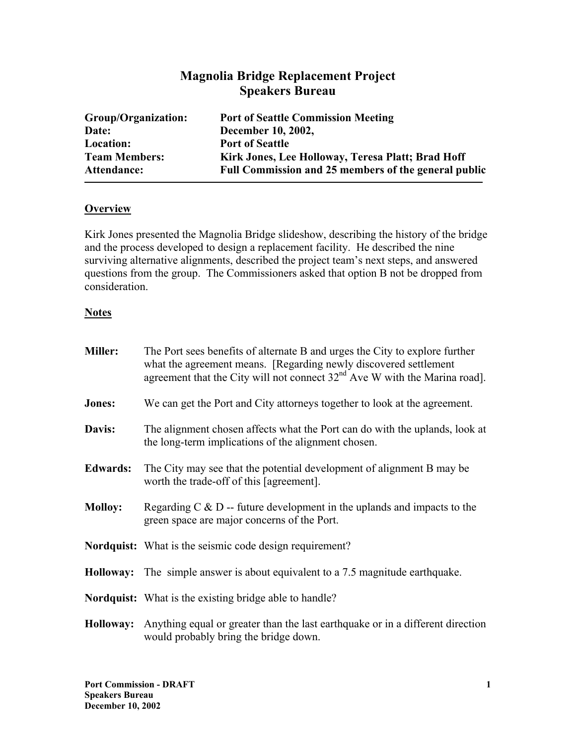# **Magnolia Bridge Replacement Project Speakers Bureau**

| Group/Organization:  | <b>Port of Seattle Commission Meeting</b>            |
|----------------------|------------------------------------------------------|
| Date:                | December 10, 2002,                                   |
| Location:            | <b>Port of Seattle</b>                               |
| <b>Team Members:</b> | Kirk Jones, Lee Holloway, Teresa Platt; Brad Hoff    |
| Attendance:          | Full Commission and 25 members of the general public |

#### **Overview**

Kirk Jones presented the Magnolia Bridge slideshow, describing the history of the bridge and the process developed to design a replacement facility. He described the nine surviving alternative alignments, described the project team's next steps, and answered questions from the group. The Commissioners asked that option B not be dropped from consideration.

#### **Notes**

| <b>Miller:</b>  | The Port sees benefits of alternate B and urges the City to explore further<br>what the agreement means. [Regarding newly discovered settlement<br>agreement that the City will not connect $32nd$ Ave W with the Marina road]. |
|-----------------|---------------------------------------------------------------------------------------------------------------------------------------------------------------------------------------------------------------------------------|
| Jones:          | We can get the Port and City attorneys together to look at the agreement.                                                                                                                                                       |
| Davis:          | The alignment chosen affects what the Port can do with the uplands, look at<br>the long-term implications of the alignment chosen.                                                                                              |
| <b>Edwards:</b> | The City may see that the potential development of alignment B may be<br>worth the trade-off of this [agreement].                                                                                                               |
| <b>Molloy:</b>  | Regarding $C \& D$ -- future development in the uplands and impacts to the<br>green space are major concerns of the Port.                                                                                                       |
|                 | <b>Nordquist:</b> What is the seismic code design requirement?                                                                                                                                                                  |
|                 | <b>Holloway:</b> The simple answer is about equivalent to a 7.5 magnitude earthquake.                                                                                                                                           |
|                 | <b>Nordquist:</b> What is the existing bridge able to handle?                                                                                                                                                                   |
|                 | <b>Holloway:</b> Anything equal or greater than the last earthquake or in a different direction<br>would probably bring the bridge down.                                                                                        |